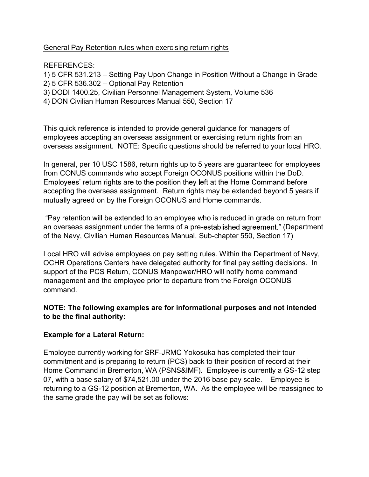# General Pay Retention rules when exercising return rights

#### REFERENCES:

1) 5 CFR 531.213 - Setting Pay Upon Change in Position Without a Change in Grade

- 2) 5 CFR 536.302 Optional Pay Retention
- 3) DODI 1400.25, Civilian Personnel Management System, Volume 536
- 4) DON Civilian Human Resources Manual 550, Section 17

This quick reference is intended to provide general guidance for managers of employees accepting an overseas assignment or exercising return rights from an overseas assignment. NOTE: Specific questions should be referred to your local HRO.

In general, per 10 USC 1586, return rights up to 5 years are guaranteed for employees from CONUS commands who accept Foreign OCONUS positions within the DoD. Employees' return rights are to the position they left at the Home Command before accepting the overseas assignment. Return rights may be extended beyond 5 years if mutually agreed on by the Foreign OCONUS and Home commands.

Pay retention will be extended to an employee who is reduced in grade on return from an overseas assignment under the terms of a pre-established agreement." (Department of the Navy, Civilian Human Resources Manual, Sub-chapter 550, Section 17)

Local HRO will advise employees on pay setting rules. Within the Department of Navy, OCHR Operations Centers have delegated authority for final pay setting decisions. In support of the PCS Return, CONUS Manpower/HRO will notify home command management and the employee prior to departure from the Foreign OCONUS command.

#### NOTE: The following examples are for informational purposes and not intended to be the final authority:

# Example for a Lateral Return:

Employee currently working for SRF-JRMC Yokosuka has completed their tour commitment and is preparing to return (PCS) back to their position of record at their Home Command in Bremerton, WA (PSNS&IMF). Employee is currently a GS-12 step 07, with a base salary of \$74,521.00 under the 2016 base pay scale. Employee is returning to a GS-12 position at Bremerton, WA. As the employee will be reassigned to the same grade the pay will be set as follows: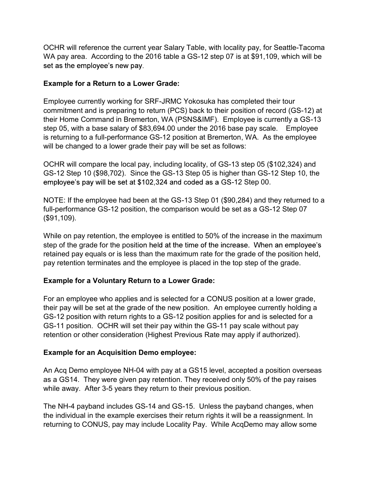OCHR will reference the current year Salary Table, with locality pay, for Seattle-Tacoma WA pay area. According to the 2016 table a GS-12 step 07 is at \$91,109, which will be set as the employee's new pay.

# Example for a Return to a Lower Grade:

Employee currently working for SRF-JRMC Yokosuka has completed their tour commitment and is preparing to return (PCS) back to their position of record (GS-12) at their Home Command in Bremerton, WA (PSNS&IMF). Employee is currently a GS-13 step 05, with a base salary of \$83,694.00 under the 2016 base pay scale. Employee is returning to a full-performance GS-12 position at Bremerton, WA. As the employee will be changed to a lower grade their pay will be set as follows:

OCHR will compare the local pay, including locality, of GS-13 step 05 (\$102,324) and GS-12 Step 10 (\$98,702). Since the GS-13 Step 05 is higher than GS-12 Step 10, the employee's pay will be set at \$102,324 and coded as a GS-12 Step 00.

NOTE: If the employee had been at the GS-13 Step 01 (\$90,284) and they returned to a full-performance GS-12 position, the comparison would be set as a GS-12 Step 07 (\$91,109).

While on pay retention, the employee is entitled to 50% of the increase in the maximum step of the grade for the position held at the time of the increase. When an employee's retained pay equals or is less than the maximum rate for the grade of the position held, pay retention terminates and the employee is placed in the top step of the grade.

# Example for a Voluntary Return to a Lower Grade:

For an employee who applies and is selected for a CONUS position at a lower grade, their pay will be set at the grade of the new position. An employee currently holding a GS-12 position with return rights to a GS-12 position applies for and is selected for a GS-11 position. OCHR will set their pay within the GS-11 pay scale without pay retention or other consideration (Highest Previous Rate may apply if authorized).

# Example for an Acquisition Demo employee:

An Acq Demo employee NH-04 with pay at a GS15 level, accepted a position overseas as a GS14. They were given pay retention. They received only 50% of the pay raises while away. After 3-5 years they return to their previous position.

The NH-4 payband includes GS-14 and GS-15. Unless the payband changes, when the individual in the example exercises their return rights it will be a reassignment. In returning to CONUS, pay may include Locality Pay. While AcqDemo may allow some